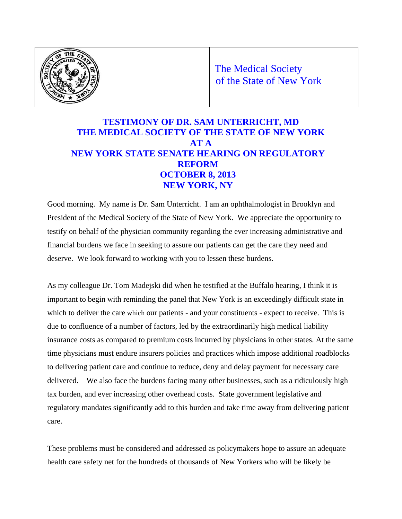

The Medical Society of the State of New York

# **TESTIMONY OF DR. SAM UNTERRICHT, MD THE MEDICAL SOCIETY OF THE STATE OF NEW YORK AT A NEW YORK STATE SENATE HEARING ON REGULATORY REFORM OCTOBER 8, 2013 NEW YORK, NY**

Good morning. My name is Dr. Sam Unterricht. I am an ophthalmologist in Brooklyn and President of the Medical Society of the State of New York. We appreciate the opportunity to testify on behalf of the physician community regarding the ever increasing administrative and financial burdens we face in seeking to assure our patients can get the care they need and deserve. We look forward to working with you to lessen these burdens.

As my colleague Dr. Tom Madejski did when he testified at the Buffalo hearing, I think it is important to begin with reminding the panel that New York is an exceedingly difficult state in which to deliver the care which our patients - and your constituents - expect to receive. This is due to confluence of a number of factors, led by the extraordinarily high medical liability insurance costs as compared to premium costs incurred by physicians in other states. At the same time physicians must endure insurers policies and practices which impose additional roadblocks to delivering patient care and continue to reduce, deny and delay payment for necessary care delivered. We also face the burdens facing many other businesses, such as a ridiculously high tax burden, and ever increasing other overhead costs. State government legislative and regulatory mandates significantly add to this burden and take time away from delivering patient care.

These problems must be considered and addressed as policymakers hope to assure an adequate health care safety net for the hundreds of thousands of New Yorkers who will be likely be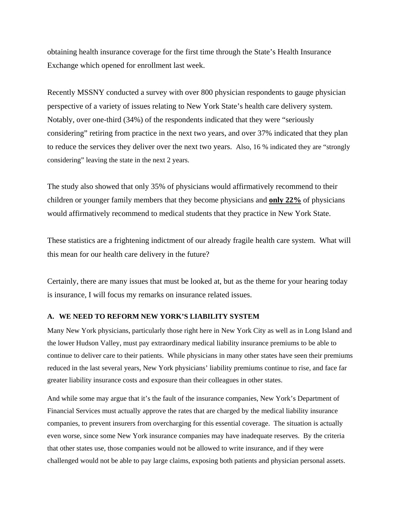obtaining health insurance coverage for the first time through the State's Health Insurance Exchange which opened for enrollment last week.

Recently MSSNY conducted a survey with over 800 physician respondents to gauge physician perspective of a variety of issues relating to New York State's health care delivery system. Notably, over one-third (34%) of the respondents indicated that they were "seriously considering" retiring from practice in the next two years, and over 37% indicated that they plan to reduce the services they deliver over the next two years. Also, 16 % indicated they are "strongly considering" leaving the state in the next 2 years.

The study also showed that only 35% of physicians would affirmatively recommend to their children or younger family members that they become physicians and **only 22%** of physicians would affirmatively recommend to medical students that they practice in New York State.

These statistics are a frightening indictment of our already fragile health care system. What will this mean for our health care delivery in the future?

Certainly, there are many issues that must be looked at, but as the theme for your hearing today is insurance, I will focus my remarks on insurance related issues.

#### **A. WE NEED TO REFORM NEW YORK'S LIABILITY SYSTEM**

Many New York physicians, particularly those right here in New York City as well as in Long Island and the lower Hudson Valley, must pay extraordinary medical liability insurance premiums to be able to continue to deliver care to their patients. While physicians in many other states have seen their premiums reduced in the last several years, New York physicians' liability premiums continue to rise, and face far greater liability insurance costs and exposure than their colleagues in other states.

And while some may argue that it's the fault of the insurance companies, New York's Department of Financial Services must actually approve the rates that are charged by the medical liability insurance companies, to prevent insurers from overcharging for this essential coverage. The situation is actually even worse, since some New York insurance companies may have inadequate reserves. By the criteria that other states use, those companies would not be allowed to write insurance, and if they were challenged would not be able to pay large claims, exposing both patients and physician personal assets.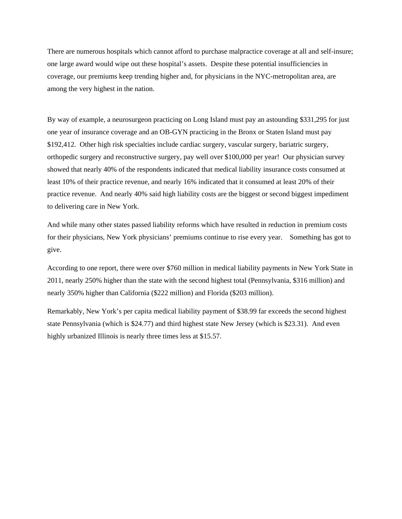There are numerous hospitals which cannot afford to purchase malpractice coverage at all and self-insure; one large award would wipe out these hospital's assets. Despite these potential insufficiencies in coverage, our premiums keep trending higher and, for physicians in the NYC-metropolitan area, are among the very highest in the nation.

By way of example, a neurosurgeon practicing on Long Island must pay an astounding \$331,295 for just one year of insurance coverage and an OB-GYN practicing in the Bronx or Staten Island must pay \$192,412. Other high risk specialties include cardiac surgery, vascular surgery, bariatric surgery, orthopedic surgery and reconstructive surgery, pay well over \$100,000 per year! Our physician survey showed that nearly 40% of the respondents indicated that medical liability insurance costs consumed at least 10% of their practice revenue, and nearly 16% indicated that it consumed at least 20% of their practice revenue. And nearly 40% said high liability costs are the biggest or second biggest impediment to delivering care in New York.

And while many other states passed liability reforms which have resulted in reduction in premium costs for their physicians, New York physicians' premiums continue to rise every year. Something has got to give.

According to one report, there were over \$760 million in medical liability payments in New York State in 2011, nearly 250% higher than the state with the second highest total (Pennsylvania, \$316 million) and nearly 350% higher than California (\$222 million) and Florida (\$203 million).

Remarkably, New York's per capita medical liability payment of \$38.99 far exceeds the second highest state Pennsylvania (which is \$24.77) and third highest state New Jersey (which is \$23.31). And even highly urbanized Illinois is nearly three times less at \$15.57.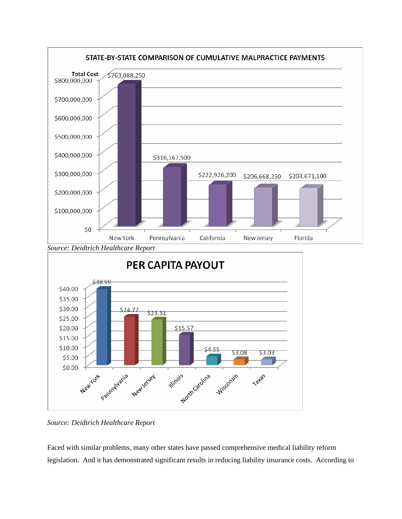

*Source: Deidtrich Healthcare Report* 

Faced with similar problems, many other states have passed comprehensive medical liability reform legislation. And it has demonstrated significant results in reducing liability insurance costs. According to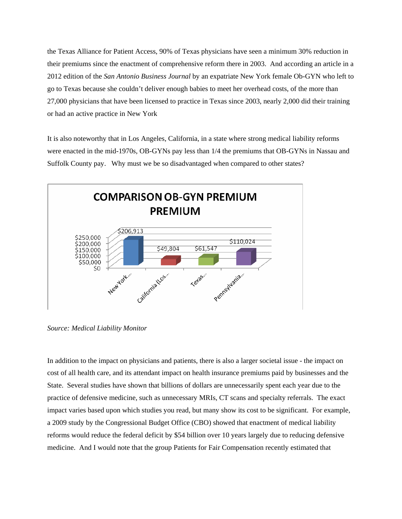the Texas Alliance for Patient Access, 90% of Texas physicians have seen a minimum 30% reduction in their premiums since the enactment of comprehensive reform there in 2003. And according an article in a 2012 edition of the *San Antonio Business Journal* by an expatriate New York female Ob-GYN who left to go to Texas because she couldn't deliver enough babies to meet her overhead costs, of the more than 27,000 physicians that have been licensed to practice in Texas since 2003, nearly 2,000 did their training or had an active practice in New York

It is also noteworthy that in Los Angeles, California, in a state where strong medical liability reforms were enacted in the mid-1970s, OB-GYNs pay less than 1/4 the premiums that OB-GYNs in Nassau and Suffolk County pay. Why must we be so disadvantaged when compared to other states?



*Source: Medical Liability Monitor* 

In addition to the impact on physicians and patients, there is also a larger societal issue - the impact on cost of all health care, and its attendant impact on health insurance premiums paid by businesses and the State. Several studies have shown that billions of dollars are unnecessarily spent each year due to the practice of defensive medicine, such as unnecessary MRIs, CT scans and specialty referrals. The exact impact varies based upon which studies you read, but many show its cost to be significant. For example, a 2009 study by the Congressional Budget Office (CBO) showed that enactment of medical liability reforms would reduce the federal deficit by \$54 billion over 10 years largely due to reducing defensive medicine. And I would note that the group Patients for Fair Compensation recently estimated that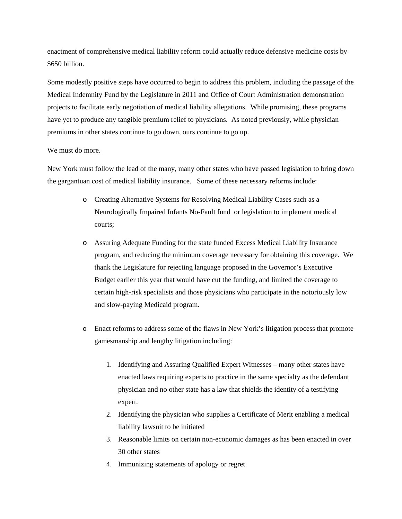enactment of comprehensive medical liability reform could actually reduce defensive medicine costs by \$650 billion.

Some modestly positive steps have occurred to begin to address this problem, including the passage of the Medical Indemnity Fund by the Legislature in 2011 and Office of Court Administration demonstration projects to facilitate early negotiation of medical liability allegations. While promising, these programs have yet to produce any tangible premium relief to physicians. As noted previously, while physician premiums in other states continue to go down, ours continue to go up.

#### We must do more.

New York must follow the lead of the many, many other states who have passed legislation to bring down the gargantuan cost of medical liability insurance. Some of these necessary reforms include:

- o Creating Alternative Systems for Resolving Medical Liability Cases such as a Neurologically Impaired Infants No-Fault fund or legislation to implement medical courts;
- o Assuring Adequate Funding for the state funded Excess Medical Liability Insurance program, and reducing the minimum coverage necessary for obtaining this coverage. We thank the Legislature for rejecting language proposed in the Governor's Executive Budget earlier this year that would have cut the funding, and limited the coverage to certain high-risk specialists and those physicians who participate in the notoriously low and slow-paying Medicaid program.
- o Enact reforms to address some of the flaws in New York's litigation process that promote gamesmanship and lengthy litigation including:
	- 1. Identifying and Assuring Qualified Expert Witnesses many other states have enacted laws requiring experts to practice in the same specialty as the defendant physician and no other state has a law that shields the identity of a testifying expert.
	- 2. Identifying the physician who supplies a Certificate of Merit enabling a medical liability lawsuit to be initiated
	- 3. Reasonable limits on certain non-economic damages as has been enacted in over 30 other states
	- 4. Immunizing statements of apology or regret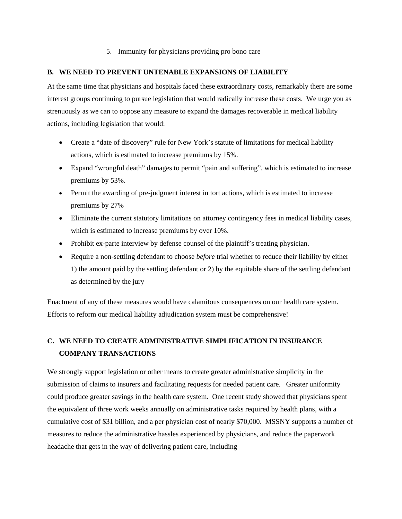## 5. Immunity for physicians providing pro bono care

## **B. WE NEED TO PREVENT UNTENABLE EXPANSIONS OF LIABILITY**

At the same time that physicians and hospitals faced these extraordinary costs, remarkably there are some interest groups continuing to pursue legislation that would radically increase these costs. We urge you as strenuously as we can to oppose any measure to expand the damages recoverable in medical liability actions, including legislation that would:

- Create a "date of discovery" rule for New York's statute of limitations for medical liability actions, which is estimated to increase premiums by 15%.
- Expand "wrongful death" damages to permit "pain and suffering", which is estimated to increase premiums by 53%.
- Permit the awarding of pre-judgment interest in tort actions, which is estimated to increase premiums by 27%
- Eliminate the current statutory limitations on attorney contingency fees in medical liability cases, which is estimated to increase premiums by over 10%.
- Prohibit ex-parte interview by defense counsel of the plaintiff's treating physician.
- Require a non-settling defendant to choose *before* trial whether to reduce their liability by either 1) the amount paid by the settling defendant or 2) by the equitable share of the settling defendant as determined by the jury

Enactment of any of these measures would have calamitous consequences on our health care system. Efforts to reform our medical liability adjudication system must be comprehensive!

## **C. WE NEED TO CREATE ADMINISTRATIVE SIMPLIFICATION IN INSURANCE COMPANY TRANSACTIONS**

We strongly support legislation or other means to create greater administrative simplicity in the submission of claims to insurers and facilitating requests for needed patient care. Greater uniformity could produce greater savings in the health care system. One recent study showed that physicians spent the equivalent of three work weeks annually on administrative tasks required by health plans, with a cumulative cost of \$31 billion, and a per physician cost of nearly \$70,000. MSSNY supports a number of measures to reduce the administrative hassles experienced by physicians, and reduce the paperwork headache that gets in the way of delivering patient care, including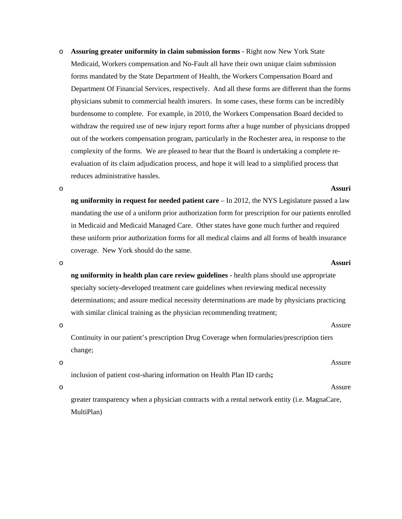o **Assuring greater uniformity in claim submission forms** - Right now New York State Medicaid, Workers compensation and No-Fault all have their own unique claim submission forms mandated by the State Department of Health, the Workers Compensation Board and Department Of Financial Services, respectively. And all these forms are different than the forms physicians submit to commercial health insurers. In some cases, these forms can be incredibly burdensome to complete. For example, in 2010, the Workers Compensation Board decided to withdraw the required use of new injury report forms after a huge number of physicians dropped out of the workers compensation program, particularly in the Rochester area, in response to the complexity of the forms. We are pleased to hear that the Board is undertaking a complete reevaluation of its claim adjudication process, and hope it will lead to a simplified process that reduces administrative hassles.

o **Assuri**

**ng uniformity in request for needed patient care** – In 2012, the NYS Legislature passed a law mandating the use of a uniform prior authorization form for prescription for our patients enrolled in Medicaid and Medicaid Managed Care. Other states have gone much further and required these uniform prior authorization forms for all medical claims and all forms of health insurance coverage. New York should do the same.

**ng uniformity in health plan care review guidelines -** health plans should use appropriate specialty society-developed treatment care guidelines when reviewing medical necessity determinations; and assure medical necessity determinations are made by physicians practicing with similar clinical training as the physician recommending treatment;

Continuity in our patient's prescription Drug Coverage when formularies/prescription tiers change;

inclusion of patient cost-sharing information on Health Plan ID cards**;** 

greater transparency when a physician contracts with a rental network entity (i.e. MagnaCare, MultiPlan)

o **Assuri**

o and a set of the Assure Assure

o Assure

# o Assure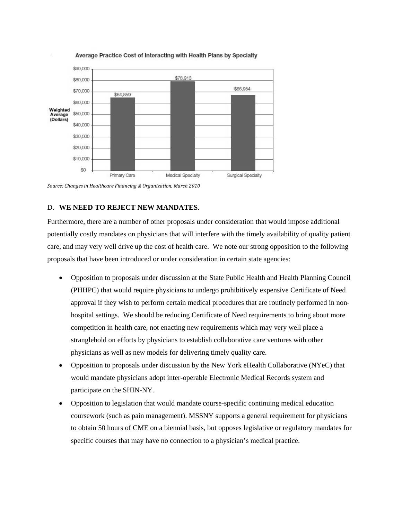

#### Average Practice Cost of Interacting with Health Plans by Specialty

*Source: Changes in Healthcare Financing & Organization, March 2010*

## D. **WE NEED TO REJECT NEW MANDATES**.

Furthermore, there are a number of other proposals under consideration that would impose additional potentially costly mandates on physicians that will interfere with the timely availability of quality patient care, and may very well drive up the cost of health care. We note our strong opposition to the following proposals that have been introduced or under consideration in certain state agencies:

- Opposition to proposals under discussion at the State Public Health and Health Planning Council (PHHPC) that would require physicians to undergo prohibitively expensive Certificate of Need approval if they wish to perform certain medical procedures that are routinely performed in nonhospital settings. We should be reducing Certificate of Need requirements to bring about more competition in health care, not enacting new requirements which may very well place a stranglehold on efforts by physicians to establish collaborative care ventures with other physicians as well as new models for delivering timely quality care.
- Opposition to proposals under discussion by the New York eHealth Collaborative (NYeC) that would mandate physicians adopt inter-operable Electronic Medical Records system and participate on the SHIN-NY.
- Opposition to legislation that would mandate course-specific continuing medical education coursework (such as pain management). MSSNY supports a general requirement for physicians to obtain 50 hours of CME on a biennial basis, but opposes legislative or regulatory mandates for specific courses that may have no connection to a physician's medical practice.